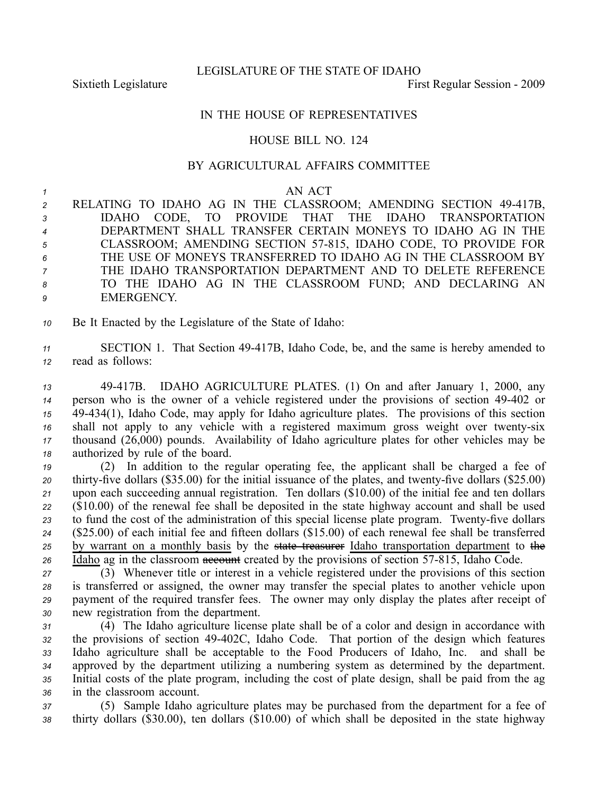LEGISLATURE OF THE STATE OF IDAHO

Sixtieth Legislature **First** Regular Session - 2009

## IN THE HOUSE OF REPRESENTATIVES

## HOUSE BILL NO. 124

## BY AGRICULTURAL AFFAIRS COMMITTEE

## *<sup>1</sup>* AN ACT

 RELATING TO IDAHO AG IN THE CLASSROOM; AMENDING SECTION 49417B, IDAHO CODE, TO PROVIDE THAT THE IDAHO TRANSPORTATION DEPARTMENT SHALL TRANSFER CERTAIN MONEYS TO IDAHO AG IN THE CLASSROOM; AMENDING SECTION 57815, IDAHO CODE, TO PROVIDE FOR THE USE OF MONEYS TRANSFERRED TO IDAHO AG IN THE CLASSROOM BY THE IDAHO TRANSPORTATION DEPARTMENT AND TO DELETE REFERENCE TO THE IDAHO AG IN THE CLASSROOM FUND; AND DECLARING AN EMERGENCY.

*<sup>10</sup>* Be It Enacted by the Legislature of the State of Idaho:

11 SECTION 1. That Section 49-417B, Idaho Code, be, and the same is hereby amended to *<sup>12</sup>* read as follows:

 49417B. IDAHO AGRICULTURE PLATES. (1) On and after January 1, 2000, any person who is the owner of <sup>a</sup> vehicle registered under the provisions of section 49402 or 49434(1), Idaho Code, may apply for Idaho agriculture plates. The provisions of this section 16 shall not apply to any vehicle with a registered maximum gross weight over twenty-six thousand (26,000) pounds. Availability of Idaho agriculture plates for other vehicles may be authorized by rule of the board.

 (2) In addition to the regular operating fee, the applicant shall be charged <sup>a</sup> fee of 20 thirty-five dollars (\$35.00) for the initial issuance of the plates, and twenty-five dollars (\$25.00) upon each succeeding annual registration. Ten dollars (\$10.00) of the initial fee and ten dollars (\$10.00) of the renewal fee shall be deposited in the state highway account and shall be used 23 to fund the cost of the administration of this special license plate program. Twenty-five dollars (\$25.00) of each initial fee and fifteen dollars (\$15.00) of each renewal fee shall be transferred by warrant on <sup>a</sup> monthly basis by the state treasurer Idaho transportation department to the 26 Idaho ag in the classroom **account** created by the provisions of section 57-815, Idaho Code.

 (3) Whenever title or interest in <sup>a</sup> vehicle registered under the provisions of this section is transferred or assigned, the owner may transfer the special plates to another vehicle upon paymen<sup>t</sup> of the required transfer fees. The owner may only display the plates after receipt of new registration from the department.

 (4) The Idaho agriculture license plate shall be of <sup>a</sup> color and design in accordance with the provisions of section 49402C, Idaho Code. That portion of the design which features Idaho agriculture shall be acceptable to the Food Producers of Idaho, Inc. and shall be approved by the department utilizing <sup>a</sup> numbering system as determined by the department. Initial costs of the plate program, including the cost of plate design, shall be paid from the ag in the classroom account.

*<sup>37</sup>* (5) Sample Idaho agriculture plates may be purchased from the department for <sup>a</sup> fee of *<sup>38</sup>* thirty dollars (\$30.00), ten dollars (\$10.00) of which shall be deposited in the state highway